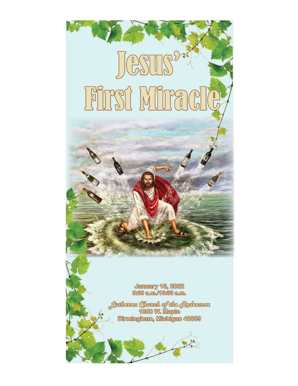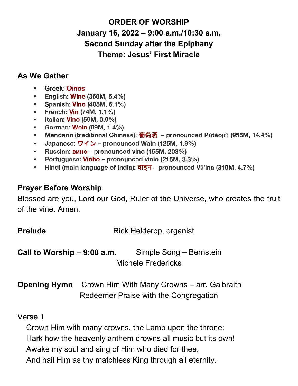# **ORDER OF WORSHIP January 16, 2022 – 9:00 a.m./10:30 a.m. Second Sunday after the Epiphany Theme: Jesus' First Miracle**

### **As We Gather**

- a. **Greek: Oinos**
- English: Wine (360M, 5.4%)  $\mathbf{m}$
- Spanish: Vino (405M, 6.1%) m.
- **French: Vin (74M, 1.1%)**
- Italian: Vino (59M, 0.9%)  $\blacksquare$
- German: Wein (89M, 1.4%)  $\blacksquare$
- Mandarin (traditional Chinese): 葡萄酒 pronounced Pútáojiǔ (955M, 14.4%) ш.
- Japanese:  $\overline{77}$   $\rightarrow$  pronounced Wain (125M, 1.9%)  $\mathbf{m}$  .
- Russian: вино pronounced vino (155М, 203%)  $\blacksquare$
- Portuguese: Vinho pronounced vinio (215M, 3.3%)
- Hindi (main language of India):  $\overline{d}$   $\overline{g}$  pronounced V $\overline{a}$ 'ina (310M, 4.7%)  $\mathbf{u}$

## **Prayer Before Worship**

Blessed are you, Lord our God, Ruler of the Universe, who creates the fruit of the vine. Amen.

| <b>Prelude</b>               | Rick Helderop, organist<br>Simple Song - Bernstein<br><b>Michele Fredericks</b> |                                                                                      |
|------------------------------|---------------------------------------------------------------------------------|--------------------------------------------------------------------------------------|
| Call to Worship $-9:00$ a.m. |                                                                                 |                                                                                      |
| <b>Opening Hymn</b>          |                                                                                 | Crown Him With Many Crowns – arr. Galbraith<br>Redeemer Praise with the Congregation |

### Verse 1

Crown Him with many crowns, the Lamb upon the throne: Hark how the heavenly anthem drowns all music but its own! Awake my soul and sing of Him who died for thee, And hail Him as thy matchless King through all eternity.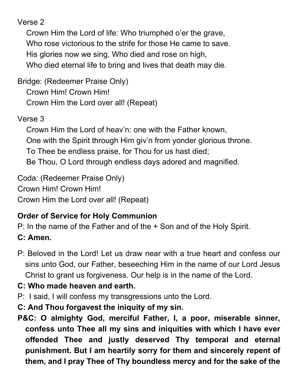Verse 2

Crown Him the Lord of life: Who triumphed o'er the grave, Who rose victorious to the strife for those He came to save. His glories now we sing, Who died and rose on high, Who died eternal life to bring and lives that death may die.

Bridge: (Redeemer Praise Only)

Crown Him! Crown Him!

Crown Him the Lord over all! (Repeat)

Verse 3

Crown Him the Lord of heav'n: one with the Father known, One with the Spirit through Him giv'n from yonder glorious throne. To Thee be endless praise, for Thou for us hast died; Be Thou, O Lord through endless days adored and magnified.

Coda: (Redeemer Praise Only) Crown Him! Crown Him!

Crown Him the Lord over all! (Repeat)

# **Order of Service for Holy Communion**

P: In the name of the Father and of the + Son and of the Holy Spirit.

# **C: Amen.**

P: Beloved in the Lord! Let us draw near with a true heart and confess our sins unto God, our Father, beseeching Him in the name of our Lord Jesus Christ to grant us forgiveness. Our help is in the name of the Lord.

# **C: Who made heaven and earth.**

- P: I said, I will confess my transgressions unto the Lord.
- **C: And Thou forgavest the iniquity of my sin.**
- **P&C: O almighty God, merciful Father, I, a poor, miserable sinner, confess unto Thee all my sins and iniquities with which I have ever offended Thee and justly deserved Thy temporal and eternal punishment. But I am heartily sorry for them and sincerely repent of them, and I pray Thee of Thy boundless mercy and for the sake of the**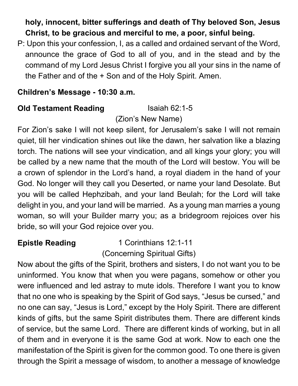# **holy, innocent, bitter sufferings and death of Thy beloved Son, Jesus Christ, to be gracious and merciful to me, a poor, sinful being.**

P: Upon this your confession, I, as a called and ordained servant of the Word, announce the grace of God to all of you, and in the stead and by the command of my Lord Jesus Christ I forgive you all your sins in the name of the Father and of the + Son and of the Holy Spirit. Amen.

## **Children's Message - 10:30 a.m.**

# **Old Testament Reading Isaiah 62:1-5**

(Zion's New Name)

For Zion's sake I will not keep silent, for Jerusalem's sake I will not remain quiet, till her vindication shines out like the dawn, her salvation like a blazing torch. The nations will see your vindication, and all kings your glory; you will be called by a new name that the mouth of the Lord will bestow. You will be a crown of splendor in the Lord's hand, a royal diadem in the hand of your God. No longer will they call you Deserted, or name your land Desolate. But you will be called Hephzibah, and your land Beulah; for the Lord will take delight in you, and your land will be married. As a young man marries a young woman, so will your Builder marry you; as a bridegroom rejoices over his bride, so will your God rejoice over you.

**Epistle Reading** 1 Corinthians 12:1-11 (Concerning Spiritual Gifts)

Now about the gifts of the Spirit, brothers and sisters, I do not want you to be uninformed. You know that when you were pagans, somehow or other you were influenced and led astray to mute idols. Therefore I want you to know that no one who is speaking by the Spirit of God says, "Jesus be cursed," and no one can say, "Jesus is Lord," except by the Holy Spirit. There are different kinds of gifts, but the same Spirit distributes them. There are different kinds of service, but the same Lord. There are different kinds of working, but in all of them and in everyone it is the same God at work. Now to each one the manifestation of the Spirit is given for the common good. To one there is given through the Spirit a message of wisdom, to another a message of knowledge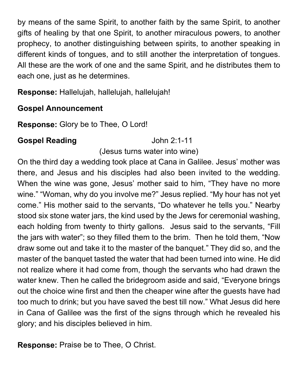by means of the same Spirit, to another faith by the same Spirit, to another gifts of healing by that one Spirit, to another miraculous powers, to another prophecy, to another distinguishing between spirits, to another speaking in different kinds of tongues, and to still another the interpretation of tongues. All these are the work of one and the same Spirit, and he distributes them to each one, just as he determines.

**Response:** Hallelujah, hallelujah, hallelujah!

### **Gospel Announcement**

**Response:** Glory be to Thee, O Lord!

### **Gospel Reading Cospel Reading** John 2:1-11

### (Jesus turns water into wine)

On the third day a wedding took place at Cana in Galilee. Jesus' mother was there, and Jesus and his disciples had also been invited to the wedding. When the wine was gone, Jesus' mother said to him, "They have no more wine." "Woman, why do you involve me?" Jesus replied. "My hour has not yet come." His mother said to the servants, "Do whatever he tells you." Nearby stood six stone water jars, the kind used by the Jews for ceremonial washing, each holding from twenty to thirty gallons. Jesus said to the servants, "Fill the jars with water"; so they filled them to the brim. Then he told them, "Now draw some out and take it to the master of the banquet." They did so, and the master of the banquet tasted the water that had been turned into wine. He did not realize where it had come from, though the servants who had drawn the water knew. Then he called the bridegroom aside and said, "Everyone brings out the choice wine first and then the cheaper wine after the guests have had too much to drink; but you have saved the best till now." What Jesus did here in Cana of Galilee was the first of the signs through which he revealed his glory; and his disciples believed in him.

**Response:** Praise be to Thee, O Christ.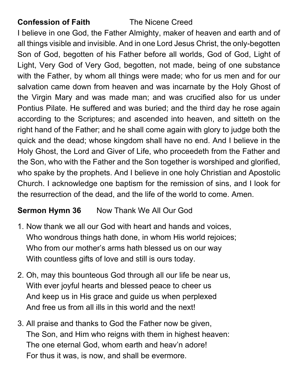## **Confession of Faith The Nicene Creed**

I believe in one God, the Father Almighty, maker of heaven and earth and of all things visible and invisible. And in one Lord Jesus Christ, the only-begotten Son of God, begotten of his Father before all worlds, God of God, Light of Light, Very God of Very God, begotten, not made, being of one substance with the Father, by whom all things were made; who for us men and for our salvation came down from heaven and was incarnate by the Holy Ghost of the Virgin Mary and was made man; and was crucified also for us under Pontius Pilate. He suffered and was buried; and the third day he rose again according to the Scriptures; and ascended into heaven, and sitteth on the right hand of the Father; and he shall come again with glory to judge both the quick and the dead; whose kingdom shall have no end. And I believe in the Holy Ghost, the Lord and Giver of Life, who proceedeth from the Father and the Son, who with the Father and the Son together is worshiped and glorified, who spake by the prophets. And I believe in one holy Christian and Apostolic Church. I acknowledge one baptism for the remission of sins, and I look for the resurrection of the dead, and the life of the world to come. Amen.

# **Sermon Hymn 36** Now Thank We All Our God

- 1. Now thank we all our God with heart and hands and voices, Who wondrous things hath done, in whom His world rejoices; Who from our mother's arms hath blessed us on our way With countless gifts of love and still is ours today.
- 2. Oh, may this bounteous God through all our life be near us, With ever joyful hearts and blessed peace to cheer us And keep us in His grace and guide us when perplexed And free us from all ills in this world and the next!
- 3. All praise and thanks to God the Father now be given, The Son, and Him who reigns with them in highest heaven: The one eternal God, whom earth and heav'n adore! For thus it was, is now, and shall be evermore.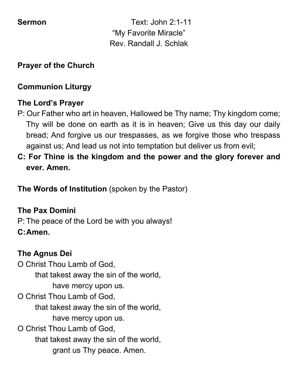**Sermon Text:** John 2:1-11 "My Favorite Miracle" Rev. Randall J. Schlak

## **Prayer of the Church**

## **Communion Liturgy**

## **The Lord's Prayer**

- P: Our Father who art in heaven, Hallowed be Thy name; Thy kingdom come; Thy will be done on earth as it is in heaven; Give us this day our daily bread; And forgive us our trespasses, as we forgive those who trespass against us; And lead us not into temptation but deliver us from evil;
- **C: For Thine is the kingdom and the power and the glory forever and ever. Amen.**

**The Words of Institution** (spoken by the Pastor)

## **The Pax Domini**

P: The peace of the Lord be with you always! **C:Amen.**

## **The Agnus Dei**

O Christ Thou Lamb of God, that takest away the sin of the world, have mercy upon us. O Christ Thou Lamb of God, that takest away the sin of the world, have mercy upon us. O Christ Thou Lamb of God, that takest away the sin of the world, grant us Thy peace. Amen.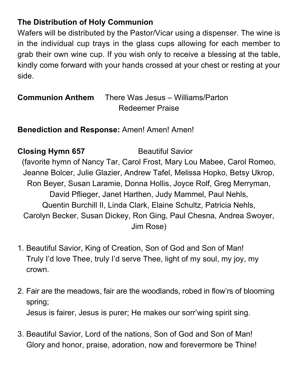## **The Distribution of Holy Communion**

Wafers will be distributed by the Pastor/Vicar using a dispenser. The wine is in the individual cup trays in the glass cups allowing for each member to grab their own wine cup. If you wish only to receive a blessing at the table, kindly come forward with your hands crossed at your chest or resting at your side.

| <b>Communion Anthem</b> | There Was Jesus – Williams/Parton |
|-------------------------|-----------------------------------|
|                         | <b>Redeemer Praise</b>            |

**Benediction and Response:** Amen! Amen! Amen!

**Closing Hymn 657** Beautiful Savior (favorite hymn of Nancy Tar, Carol Frost, Mary Lou Mabee, Carol Romeo, Jeanne Bolcer, Julie Glazier, Andrew Tafel, Melissa Hopko, Betsy Ukrop, Ron Beyer, Susan Laramie, Donna Hollis, Joyce Rolf, Greg Merryman, David Pflieger, Janet Harthen, Judy Mammel, Paul Nehls, Quentin Burchill II, Linda Clark, Elaine Schultz, Patricia Nehls, Carolyn Becker, Susan Dickey, Ron Ging, Paul Chesna, Andrea Swoyer, Jim Rose)

- 1. Beautiful Savior, King of Creation, Son of God and Son of Man! Truly I'd love Thee, truly I'd serve Thee, light of my soul, my joy, my crown.
- 2. Fair are the meadows, fair are the woodlands, robed in flow'rs of blooming spring; Jesus is fairer, Jesus is purer; He makes our sorr'wing spirit sing.
- 3. Beautiful Savior, Lord of the nations, Son of God and Son of Man! Glory and honor, praise, adoration, now and forevermore be Thine!